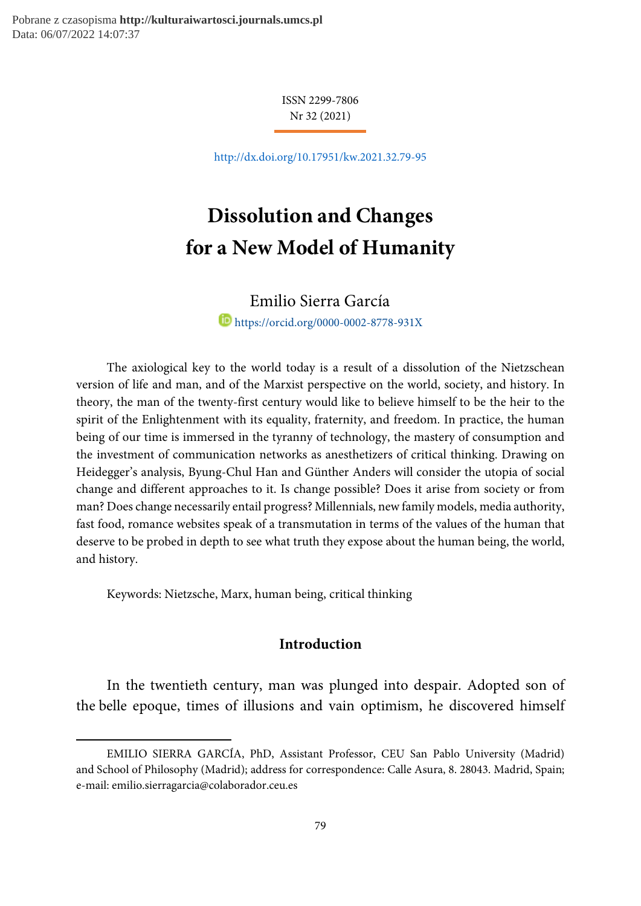Pobrane z czasopisma **http://kulturaiwartosci.journals.umcs.pl** Data: 06/07/2022 14:07:37

> ISSN 2299-7806 Nr 32 (2021)

http://dx.doi.org/10.17951/kw.2021.32.79-95

# Dissolution and Changes for a New Model of Humanity

 Emilio Sierra García<sup>1</sup> https://orcid.org/0000-0002-8778-931X

The axiological key to the world today is a result of a dissolution of the Nietzschean version of life and man, and of the Marxist perspective on the world, society, and history. In theory, the man of the twenty-first century would like to believe himself to be the heir to the spirit of the Enlightenment with its equality, fraternity, and freedom. In practice, the human being of our time is immersed in the tyranny of technology, the mastery of consumption and the investment of communication networks as anesthetizers of critical thinking. Drawing on Heidegger's analysis, Byung-Chul Han and Günther Anders will consider the utopia of social change and different approaches to it. Is change possible? Does it arise from society or from man? Does change necessarily entail progress? Millennials, new family models, media authority, fast food, romance websites speak of a transmutation in terms of the values of the human that deserve to be probed in depth to see what truth they expose about the human being, the world, and history.

Keywords: Nietzsche, Marx, human being, critical thinking

-

## Introduction

In the twentieth century, man was plunged into despair. Adopted son of the belle epoque, times of illusions and vain optimism, he discovered himself

EMILIO SIERRA GARCÍA, PhD, Assistant Professor, CEU San Pablo University (Madrid) and School of Philosophy (Madrid); address for correspondence: Calle Asura, 8. 28043. Madrid, Spain; e-mail: emilio.sierragarcia@colaborador.ceu.es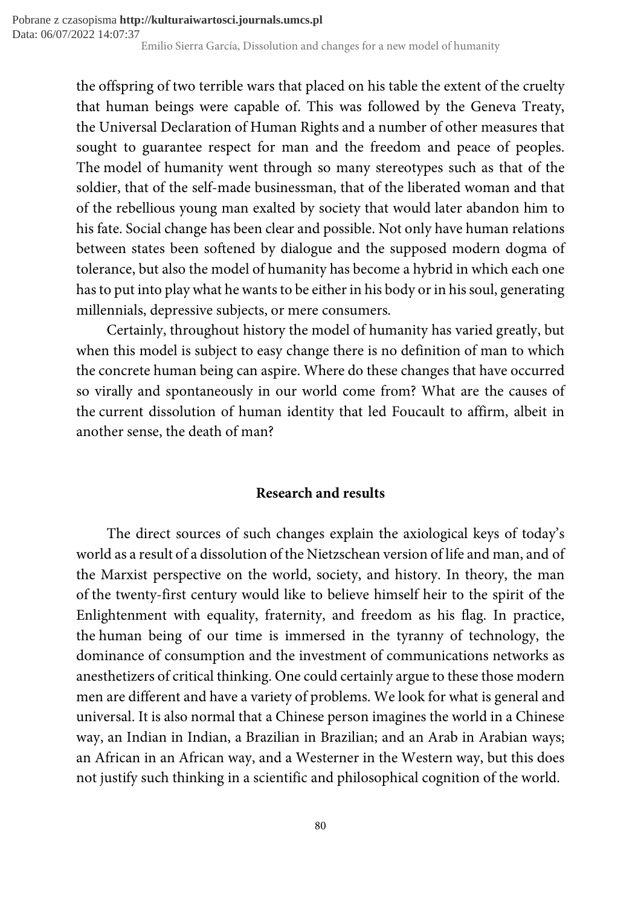the offspring of two terrible wars that placed on his table the extent of the cruelty that human beings were capable of. This was followed by the Geneva Treaty, the Universal Declaration of Human Rights and a number of other measures that sought to guarantee respect for man and the freedom and peace of peoples. The model of humanity went through so many stereotypes such as that of the soldier, that of the self-made businessman, that of the liberated woman and that of the rebellious young man exalted by society that would later abandon him to his fate. Social change has been clear and possible. Not only have human relations between states been softened by dialogue and the supposed modern dogma of tolerance, but also the model of humanity has become a hybrid in which each one has to put into play what he wants to be either in his body or in his soul, generating millennials, depressive subjects, or mere consumers.

Certainly, throughout history the model of humanity has varied greatly, but when this model is subject to easy change there is no definition of man to which the concrete human being can aspire. Where do these changes that have occurred so virally and spontaneously in our world come from? What are the causes of the current dissolution of human identity that led Foucault to affirm, albeit in another sense, the death of man?

# Research and results

The direct sources of such changes explain the axiological keys of today's world as a result of a dissolution of the Nietzschean version of life and man, and of the Marxist perspective on the world, society, and history. In theory, the man of the twenty-first century would like to believe himself heir to the spirit of the Enlightenment with equality, fraternity, and freedom as his flag. In practice, the human being of our time is immersed in the tyranny of technology, the dominance of consumption and the investment of communications networks as anesthetizers of critical thinking. One could certainly argue to these those modern men are different and have a variety of problems. We look for what is general and universal. It is also normal that a Chinese person imagines the world in a Chinese way, an Indian in Indian, a Brazilian in Brazilian; and an Arab in Arabian ways; an African in an African way, and a Westerner in the Western way, but this does not justify such thinking in a scientific and philosophical cognition of the world.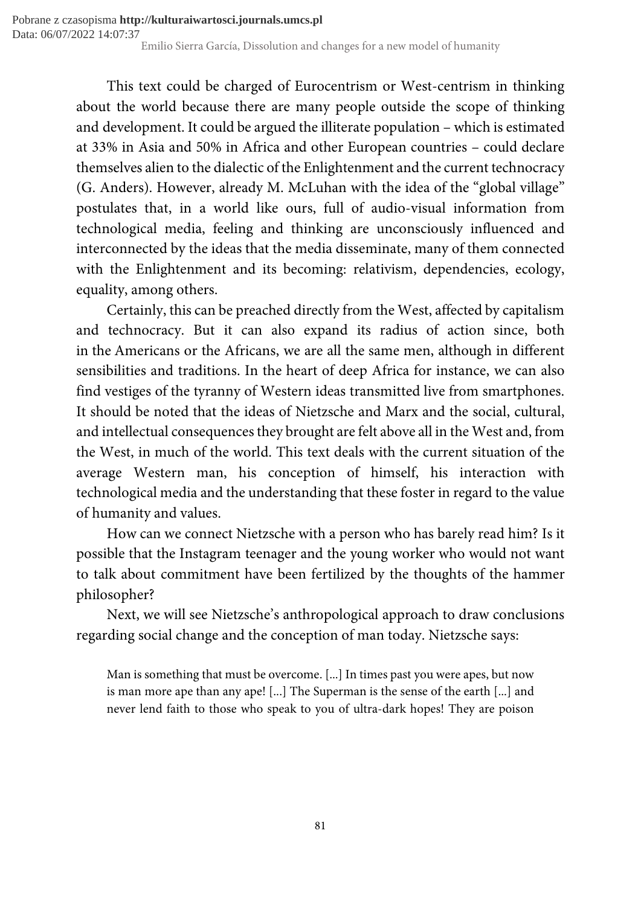Emilio Sierra García, Dissolution and changes for a new model of humanity Pobrane z czasopisma **http://kulturaiwartosci.journals.umcs.pl** Data: 06/07/2022 14:07:37

> This text could be charged of Eurocentrism or West-centrism in thinking about the world because there are many people outside the scope of thinking and development. It could be argued the illiterate population – which is estimated at 33% in Asia and 50% in Africa and other European countries – could declare themselves alien to the dialectic of the Enlightenment and the current technocracy (G. Anders). However, already M. McLuhan with the idea of the "global village" postulates that, in a world like ours, full of audio-visual information from technological media, feeling and thinking are unconsciously influenced and interconnected by the ideas that the media disseminate, many of them connected with the Enlightenment and its becoming: relativism, dependencies, ecology, equality, among others.

> Certainly, this can be preached directly from the West, affected by capitalism and technocracy. But it can also expand its radius of action since, both in the Americans or the Africans, we are all the same men, although in different sensibilities and traditions. In the heart of deep Africa for instance, we can also find vestiges of the tyranny of Western ideas transmitted live from smartphones. It should be noted that the ideas of Nietzsche and Marx and the social, cultural, and intellectual consequences they brought are felt above all in the West and, from the West, in much of the world. This text deals with the current situation of the average Western man, his conception of himself, his interaction with technological media and the understanding that these foster in regard to the value of humanity and values.

> How can we connect Nietzsche with a person who has barely read him? Is it possible that the Instagram teenager and the young worker who would not want to talk about commitment have been fertilized by the thoughts of the hammer philosopher?

> Next, we will see Nietzsche's anthropological approach to draw conclusions regarding social change and the conception of man today. Nietzsche says:

Man is something that must be overcome. [...] In times past you were apes, but now is man more ape than any ape! [...] The Superman is the sense of the earth [...] and never lend faith to those who speak to you of ultra-dark hopes! They are poison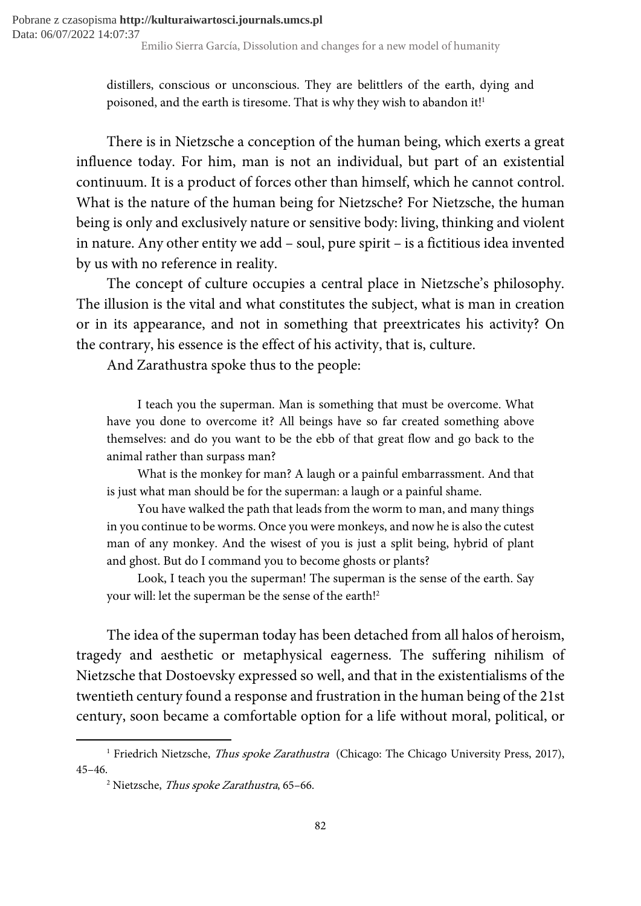distillers, conscious or unconscious. They are belittlers of the earth, dying and poisoned, and the earth is tiresome. That is why they wish to abandon it!<sup>1</sup>

There is in Nietzsche a conception of the human being, which exerts a great influence today. For him, man is not an individual, but part of an existential continuum. It is a product of forces other than himself, which he cannot control. What is the nature of the human being for Nietzsche? For Nietzsche, the human being is only and exclusively nature or sensitive body: living, thinking and violent in nature. Any other entity we add – soul, pure spirit – is a fictitious idea invented by us with no reference in reality.

The concept of culture occupies a central place in Nietzsche's philosophy. The illusion is the vital and what constitutes the subject, what is man in creation or in its appearance, and not in something that preextricates his activity? On the contrary, his essence is the effect of his activity, that is, culture.

And Zarathustra spoke thus to the people:

I teach you the superman. Man is something that must be overcome. What have you done to overcome it? All beings have so far created something above themselves: and do you want to be the ebb of that great flow and go back to the animal rather than surpass man?

What is the monkey for man? A laugh or a painful embarrassment. And that is just what man should be for the superman: a laugh or a painful shame.

You have walked the path that leads from the worm to man, and many things in you continue to be worms. Once you were monkeys, and now he is also the cutest man of any monkey. And the wisest of you is just a split being, hybrid of plant and ghost. But do I command you to become ghosts or plants?

Look, I teach you the superman! The superman is the sense of the earth. Say your will: let the superman be the sense of the earth!<sup>2</sup>

The idea of the superman today has been detached from all halos of heroism, tragedy and aesthetic or metaphysical eagerness. The suffering nihilism of Nietzsche that Dostoevsky expressed so well, and that in the existentialisms of the twentieth century found a response and frustration in the human being of the 21st century, soon became a comfortable option for a life without moral, political, or

<sup>&</sup>lt;sup>1</sup> Friedrich Nietzsche, Thus spoke Zarathustra (Chicago: The Chicago University Press, 2017), 45–46.

<sup>&</sup>lt;sup>2</sup> Nietzsche, *Thus spoke Zarathustra*, 65–66.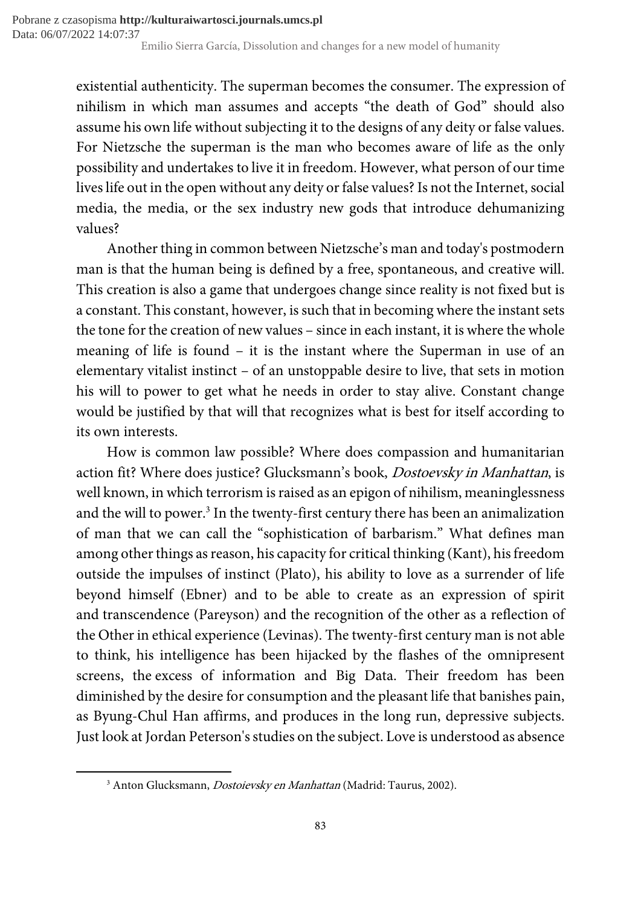existential authenticity. The superman becomes the consumer. The expression of nihilism in which man assumes and accepts "the death of God" should also assume his own life without subjecting it to the designs of any deity or false values. For Nietzsche the superman is the man who becomes aware of life as the only possibility and undertakes to live it in freedom. However, what person of our time lives life out in the open without any deity or false values? Is not the Internet, social media, the media, or the sex industry new gods that introduce dehumanizing values?

Another thing in common between Nietzsche's man and today's postmodern man is that the human being is defined by a free, spontaneous, and creative will. This creation is also a game that undergoes change since reality is not fixed but is a constant. This constant, however, is such that in becoming where the instant sets the tone for the creation of new values – since in each instant, it is where the whole meaning of life is found – it is the instant where the Superman in use of an elementary vitalist instinct – of an unstoppable desire to live, that sets in motion his will to power to get what he needs in order to stay alive. Constant change would be justified by that will that recognizes what is best for itself according to its own interests.

How is common law possible? Where does compassion and humanitarian action fit? Where does justice? Glucksmann's book, Dostoevsky in Manhattan, is well known, in which terrorism is raised as an epigon of nihilism, meaninglessness and the will to power.<sup>3</sup> In the twenty-first century there has been an animalization of man that we can call the "sophistication of barbarism." What defines man among other things as reason, his capacity for critical thinking (Kant), his freedom outside the impulses of instinct (Plato), his ability to love as a surrender of life beyond himself (Ebner) and to be able to create as an expression of spirit and transcendence (Pareyson) and the recognition of the other as a reflection of the Other in ethical experience (Levinas). The twenty-first century man is not able to think, his intelligence has been hijacked by the flashes of the omnipresent screens, the excess of information and Big Data. Their freedom has been diminished by the desire for consumption and the pleasant life that banishes pain, as Byung-Chul Han affirms, and produces in the long run, depressive subjects. Just look at Jordan Peterson's studies on the subject. Love is understood as absence

<sup>&</sup>lt;sup>3</sup> Anton Glucksmann, *Dostoievsky en Manhattan* (Madrid: Taurus, 2002).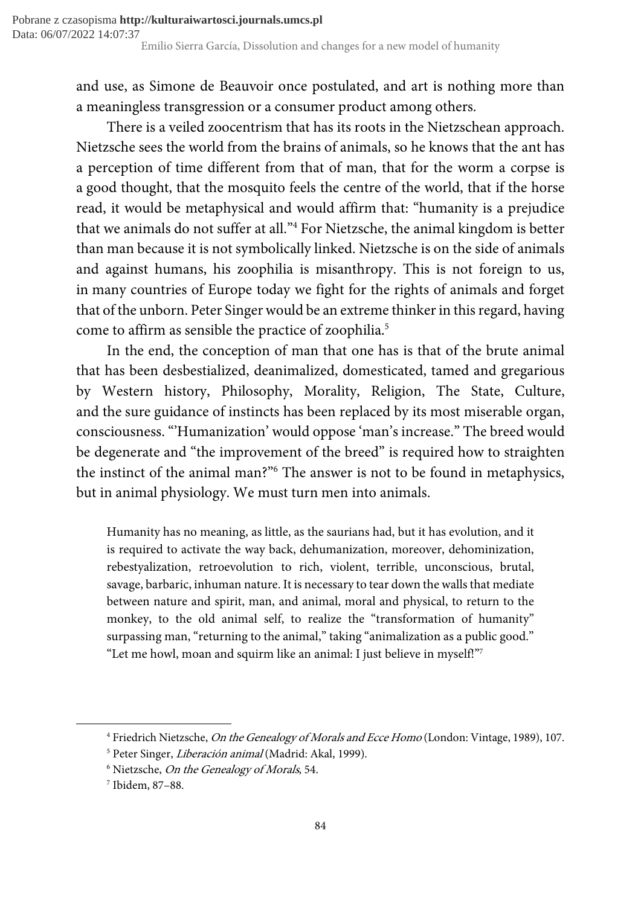and use, as Simone de Beauvoir once postulated, and art is nothing more than a meaningless transgression or a consumer product among others.

There is a veiled zoocentrism that has its roots in the Nietzschean approach. Nietzsche sees the world from the brains of animals, so he knows that the ant has a perception of time different from that of man, that for the worm a corpse is a good thought, that the mosquito feels the centre of the world, that if the horse read, it would be metaphysical and would affirm that: "humanity is a prejudice that we animals do not suffer at all."<sup>4</sup> For Nietzsche, the animal kingdom is better than man because it is not symbolically linked. Nietzsche is on the side of animals and against humans, his zoophilia is misanthropy. This is not foreign to us, in many countries of Europe today we fight for the rights of animals and forget that of the unborn. Peter Singer would be an extreme thinker in this regard, having come to affirm as sensible the practice of zoophilia.<sup>5</sup>

In the end, the conception of man that one has is that of the brute animal that has been desbestialized, deanimalized, domesticated, tamed and gregarious by Western history, Philosophy, Morality, Religion, The State, Culture, and the sure guidance of instincts has been replaced by its most miserable organ, consciousness. "'Humanization' would oppose 'man's increase." The breed would be degenerate and "the improvement of the breed" is required how to straighten the instinct of the animal man?"<sup>6</sup> The answer is not to be found in metaphysics, but in animal physiology. We must turn men into animals.

Humanity has no meaning, as little, as the saurians had, but it has evolution, and it is required to activate the way back, dehumanization, moreover, dehominization, rebestyalization, retroevolution to rich, violent, terrible, unconscious, brutal, savage, barbaric, inhuman nature. It is necessary to tear down the walls that mediate between nature and spirit, man, and animal, moral and physical, to return to the monkey, to the old animal self, to realize the "transformation of humanity" surpassing man, "returning to the animal," taking "animalization as a public good." "Let me howl, moan and squirm like an animal: I just believe in myself!"<sup>7</sup>

<sup>&</sup>lt;sup>4</sup> Friedrich Nietzsche, *On the Genealogy of Morals and Ecce Homo* (London: Vintage, 1989), 107.

<sup>&</sup>lt;sup>5</sup> Peter Singer, *Liberación animal* (Madrid: Akal, 1999).

<sup>&</sup>lt;sup>6</sup> Nietzsche, *On the Genealogy of Morals*, 54.

<sup>7</sup> Ibidem, 87–88.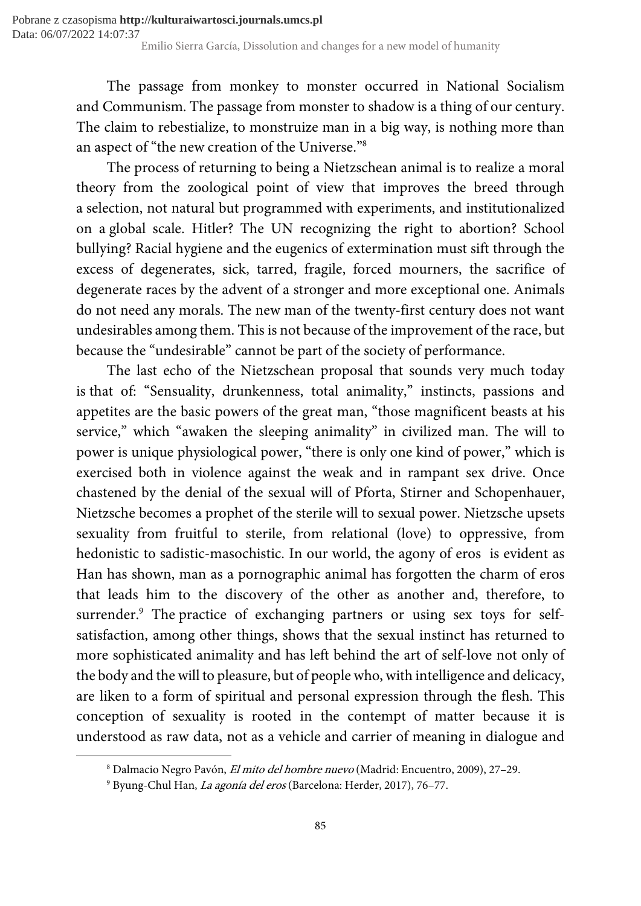The passage from monkey to monster occurred in National Socialism and Communism. The passage from monster to shadow is a thing of our century. The claim to rebestialize, to monstruize man in a big way, is nothing more than an aspect of "the new creation of the Universe."<sup>8</sup>

The process of returning to being a Nietzschean animal is to realize a moral theory from the zoological point of view that improves the breed through a selection, not natural but programmed with experiments, and institutionalized on a global scale. Hitler? The UN recognizing the right to abortion? School bullying? Racial hygiene and the eugenics of extermination must sift through the excess of degenerates, sick, tarred, fragile, forced mourners, the sacrifice of degenerate races by the advent of a stronger and more exceptional one. Animals do not need any morals. The new man of the twenty-first century does not want undesirables among them. This is not because of the improvement of the race, but because the "undesirable" cannot be part of the society of performance.

The last echo of the Nietzschean proposal that sounds very much today is that of: "Sensuality, drunkenness, total animality," instincts, passions and appetites are the basic powers of the great man, "those magnificent beasts at his service," which "awaken the sleeping animality" in civilized man. The will to power is unique physiological power, "there is only one kind of power," which is exercised both in violence against the weak and in rampant sex drive. Once chastened by the denial of the sexual will of Pforta, Stirner and Schopenhauer, Nietzsche becomes a prophet of the sterile will to sexual power. Nietzsche upsets sexuality from fruitful to sterile, from relational (love) to oppressive, from hedonistic to sadistic-masochistic. In our world, the agony of eros is evident as Han has shown, man as a pornographic animal has forgotten the charm of eros that leads him to the discovery of the other as another and, therefore, to surrender.<sup>9</sup> The practice of exchanging partners or using sex toys for selfsatisfaction, among other things, shows that the sexual instinct has returned to more sophisticated animality and has left behind the art of self-love not only of the body and the will to pleasure, but of people who, with intelligence and delicacy, are liken to a form of spiritual and personal expression through the flesh. This conception of sexuality is rooted in the contempt of matter because it is understood as raw data, not as a vehicle and carrier of meaning in dialogue and

<sup>&</sup>lt;sup>8</sup> Dalmacio Negro Pavón, *El mito del hombre nuevo* (Madrid: Encuentro, 2009), 27–29.

<sup>&</sup>lt;sup>9</sup> Byung-Chul Han, *La agonía del eros* (Barcelona: Herder, 2017), 76–77.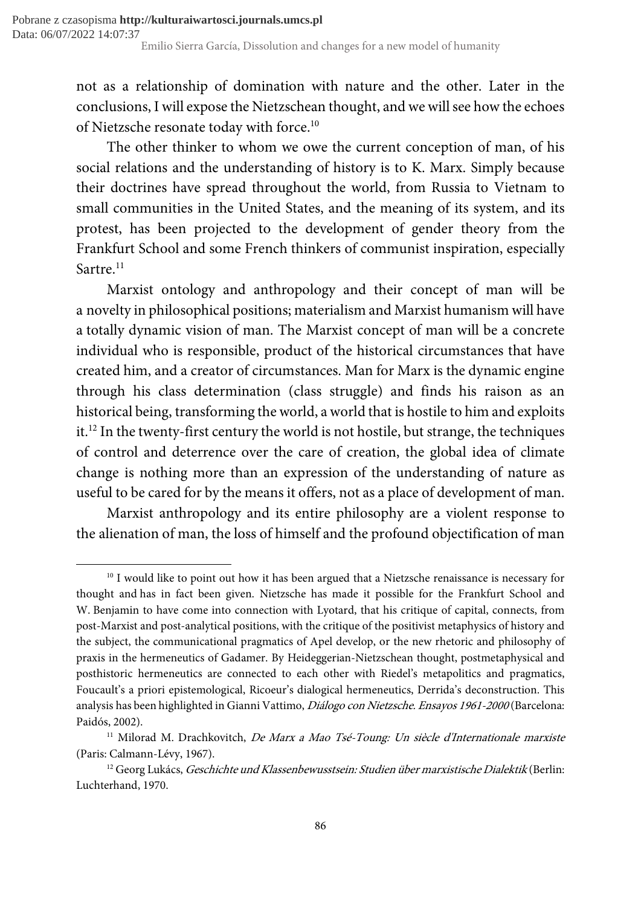not as a relationship of domination with nature and the other. Later in the conclusions, I will expose the Nietzschean thought, and we will see how the echoes of Nietzsche resonate today with force.<sup>10</sup>

The other thinker to whom we owe the current conception of man, of his social relations and the understanding of history is to K. Marx. Simply because their doctrines have spread throughout the world, from Russia to Vietnam to small communities in the United States, and the meaning of its system, and its protest, has been projected to the development of gender theory from the Frankfurt School and some French thinkers of communist inspiration, especially Sartre.<sup>11</sup>

Marxist ontology and anthropology and their concept of man will be a novelty in philosophical positions; materialism and Marxist humanism will have a totally dynamic vision of man. The Marxist concept of man will be a concrete individual who is responsible, product of the historical circumstances that have created him, and a creator of circumstances. Man for Marx is the dynamic engine through his class determination (class struggle) and finds his raison as an historical being, transforming the world, a world that is hostile to him and exploits it.<sup>12</sup> In the twenty-first century the world is not hostile, but strange, the techniques of control and deterrence over the care of creation, the global idea of climate change is nothing more than an expression of the understanding of nature as useful to be cared for by the means it offers, not as a place of development of man.

Marxist anthropology and its entire philosophy are a violent response to the alienation of man, the loss of himself and the profound objectification of man

<sup>&</sup>lt;sup>10</sup> I would like to point out how it has been argued that a Nietzsche renaissance is necessary for thought and has in fact been given. Nietzsche has made it possible for the Frankfurt School and W. Benjamin to have come into connection with Lyotard, that his critique of capital, connects, from post-Marxist and post-analytical positions, with the critique of the positivist metaphysics of history and the subject, the communicational pragmatics of Apel develop, or the new rhetoric and philosophy of praxis in the hermeneutics of Gadamer. By Heideggerian-Nietzschean thought, postmetaphysical and posthistoric hermeneutics are connected to each other with Riedel's metapolitics and pragmatics, Foucault's a priori epistemological, Ricoeur's dialogical hermeneutics, Derrida's deconstruction. This analysis has been highlighted in Gianni Vattimo, Diálogo con Nietzsche. Ensayos 1961-2000 (Barcelona: Paidós, 2002).

<sup>&</sup>lt;sup>11</sup> Milorad M. Drachkovitch, *De Marx a Mao Tsé-Toung: Un siècle d'Internationale marxiste* (Paris: Calmann-Lévy, 1967).

<sup>&</sup>lt;sup>12</sup> Georg Lukács, Geschichte und Klassenbewusstsein: Studien über marxistische Dialektik (Berlin: Luchterhand, 1970.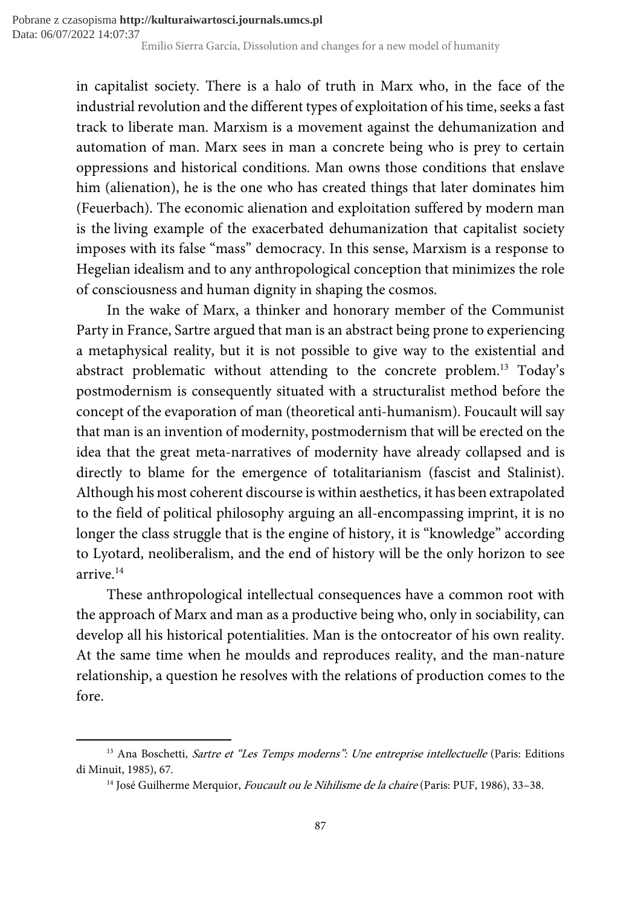in capitalist society. There is a halo of truth in Marx who, in the face of the industrial revolution and the different types of exploitation of his time, seeks a fast track to liberate man. Marxism is a movement against the dehumanization and automation of man. Marx sees in man a concrete being who is prey to certain oppressions and historical conditions. Man owns those conditions that enslave him (alienation), he is the one who has created things that later dominates him (Feuerbach). The economic alienation and exploitation suffered by modern man is the living example of the exacerbated dehumanization that capitalist society imposes with its false "mass" democracy. In this sense, Marxism is a response to Hegelian idealism and to any anthropological conception that minimizes the role of consciousness and human dignity in shaping the cosmos.

In the wake of Marx, a thinker and honorary member of the Communist Party in France, Sartre argued that man is an abstract being prone to experiencing a metaphysical reality, but it is not possible to give way to the existential and abstract problematic without attending to the concrete problem.<sup>13</sup> Today's postmodernism is consequently situated with a structuralist method before the concept of the evaporation of man (theoretical anti-humanism). Foucault will say that man is an invention of modernity, postmodernism that will be erected on the idea that the great meta-narratives of modernity have already collapsed and is directly to blame for the emergence of totalitarianism (fascist and Stalinist). Although his most coherent discourse is within aesthetics, it has been extrapolated to the field of political philosophy arguing an all-encompassing imprint, it is no longer the class struggle that is the engine of history, it is "knowledge" according to Lyotard, neoliberalism, and the end of history will be the only horizon to see arrive.<sup>14</sup>

These anthropological intellectual consequences have a common root with the approach of Marx and man as a productive being who, only in sociability, can develop all his historical potentialities. Man is the ontocreator of his own reality. At the same time when he moulds and reproduces reality, and the man-nature relationship, a question he resolves with the relations of production comes to the fore.

<sup>&</sup>lt;sup>13</sup> Ana Boschetti, Sartre et "Les Temps moderns": Une entreprise intellectuelle (Paris: Editions di Minuit, 1985), 67.

<sup>&</sup>lt;sup>14</sup> José Guilherme Merquior, *Foucault ou le Nihilisme de la chaire* (Paris: PUF, 1986), 33–38.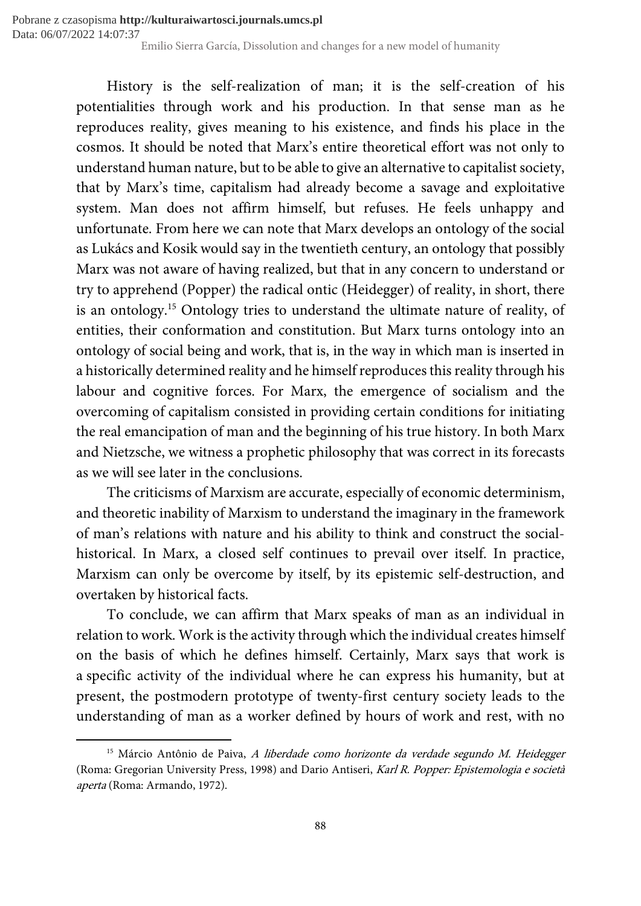History is the self-realization of man; it is the self-creation of his potentialities through work and his production. In that sense man as he reproduces reality, gives meaning to his existence, and finds his place in the cosmos. It should be noted that Marx's entire theoretical effort was not only to understand human nature, but to be able to give an alternative to capitalist society, that by Marx's time, capitalism had already become a savage and exploitative system. Man does not affirm himself, but refuses. He feels unhappy and unfortunate. From here we can note that Marx develops an ontology of the social as Lukács and Kosik would say in the twentieth century, an ontology that possibly Marx was not aware of having realized, but that in any concern to understand or try to apprehend (Popper) the radical ontic (Heidegger) of reality, in short, there is an ontology.<sup>15</sup> Ontology tries to understand the ultimate nature of reality, of entities, their conformation and constitution. But Marx turns ontology into an ontology of social being and work, that is, in the way in which man is inserted in a historically determined reality and he himself reproduces this reality through his labour and cognitive forces. For Marx, the emergence of socialism and the overcoming of capitalism consisted in providing certain conditions for initiating the real emancipation of man and the beginning of his true history. In both Marx and Nietzsche, we witness a prophetic philosophy that was correct in its forecasts as we will see later in the conclusions.

The criticisms of Marxism are accurate, especially of economic determinism, and theoretic inability of Marxism to understand the imaginary in the framework of man's relations with nature and his ability to think and construct the socialhistorical. In Marx, a closed self continues to prevail over itself. In practice, Marxism can only be overcome by itself, by its epistemic self-destruction, and overtaken by historical facts.

To conclude, we can affirm that Marx speaks of man as an individual in relation to work. Work is the activity through which the individual creates himself on the basis of which he defines himself. Certainly, Marx says that work is a specific activity of the individual where he can express his humanity, but at present, the postmodern prototype of twenty-first century society leads to the understanding of man as a worker defined by hours of work and rest, with no

 $15$  Márcio Antônio de Paiva, A liberdade como horizonte da verdade segundo M. Heidegger (Roma: Gregorian University Press, 1998) and Dario Antiseri, Karl R. Popper: Epistemologia e società aperta (Roma: Armando, 1972).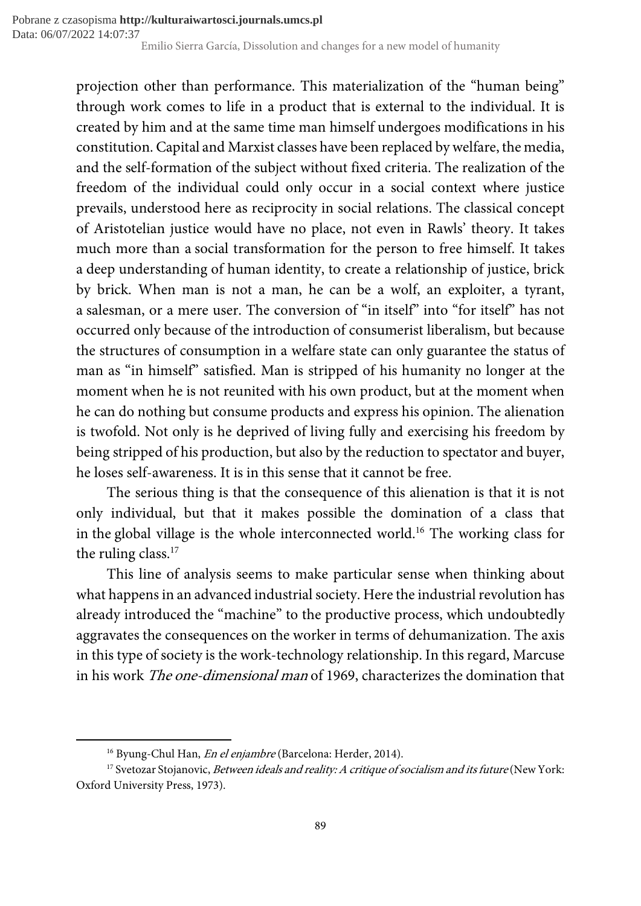projection other than performance. This materialization of the "human being" through work comes to life in a product that is external to the individual. It is created by him and at the same time man himself undergoes modifications in his constitution. Capital and Marxist classes have been replaced by welfare, the media, and the self-formation of the subject without fixed criteria. The realization of the freedom of the individual could only occur in a social context where justice prevails, understood here as reciprocity in social relations. The classical concept of Aristotelian justice would have no place, not even in Rawls' theory. It takes much more than a social transformation for the person to free himself. It takes a deep understanding of human identity, to create a relationship of justice, brick by brick. When man is not a man, he can be a wolf, an exploiter, a tyrant, a salesman, or a mere user. The conversion of "in itself" into "for itself" has not occurred only because of the introduction of consumerist liberalism, but because the structures of consumption in a welfare state can only guarantee the status of man as "in himself" satisfied. Man is stripped of his humanity no longer at the moment when he is not reunited with his own product, but at the moment when he can do nothing but consume products and express his opinion. The alienation is twofold. Not only is he deprived of living fully and exercising his freedom by being stripped of his production, but also by the reduction to spectator and buyer, he loses self-awareness. It is in this sense that it cannot be free.

The serious thing is that the consequence of this alienation is that it is not only individual, but that it makes possible the domination of a class that in the global village is the whole interconnected world.<sup>16</sup> The working class for the ruling class.<sup>17</sup>

This line of analysis seems to make particular sense when thinking about what happens in an advanced industrial society. Here the industrial revolution has already introduced the "machine" to the productive process, which undoubtedly aggravates the consequences on the worker in terms of dehumanization. The axis in this type of society is the work-technology relationship. In this regard, Marcuse in his work The one-dimensional man of 1969, characterizes the domination that

<sup>&</sup>lt;sup>16</sup> Byung-Chul Han, *En el enjambre* (Barcelona: Herder, 2014).

<sup>&</sup>lt;sup>17</sup> Svetozar Stojanovic, Between ideals and reality: A critique of socialism and its future (New York: Oxford University Press, 1973).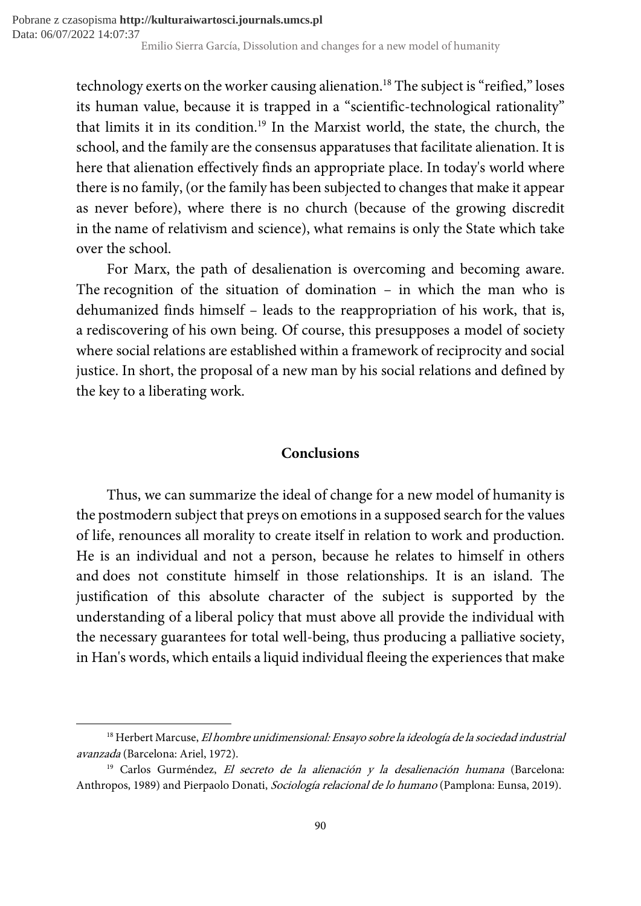technology exerts on the worker causing alienation.<sup>18</sup> The subject is "reified," loses its human value, because it is trapped in a "scientific-technological rationality" that limits it in its condition.<sup>19</sup> In the Marxist world, the state, the church, the school, and the family are the consensus apparatuses that facilitate alienation. It is here that alienation effectively finds an appropriate place. In today's world where there is no family, (or the family has been subjected to changes that make it appear as never before), where there is no church (because of the growing discredit in the name of relativism and science), what remains is only the State which take over the school.

For Marx, the path of desalienation is overcoming and becoming aware. The recognition of the situation of domination – in which the man who is dehumanized finds himself – leads to the reappropriation of his work, that is, a rediscovering of his own being. Of course, this presupposes a model of society where social relations are established within a framework of reciprocity and social justice. In short, the proposal of a new man by his social relations and defined by the key to a liberating work.

# **Conclusions**

Thus, we can summarize the ideal of change for a new model of humanity is the postmodern subject that preys on emotions in a supposed search for the values of life, renounces all morality to create itself in relation to work and production. He is an individual and not a person, because he relates to himself in others and does not constitute himself in those relationships. It is an island. The justification of this absolute character of the subject is supported by the understanding of a liberal policy that must above all provide the individual with the necessary guarantees for total well-being, thus producing a palliative society, in Han's words, which entails a liquid individual fleeing the experiences that make

<sup>&</sup>lt;sup>18</sup> Herbert Marcuse, *El hombre unidimensional: Ensayo sobre la ideología de la sociedad industrial* avanzada (Barcelona: Ariel, 1972).

 $19$  Carlos Gurméndez, El secreto de la alienación y la desalienación humana (Barcelona: Anthropos, 1989) and Pierpaolo Donati, Sociología relacional de lo humano (Pamplona: Eunsa, 2019).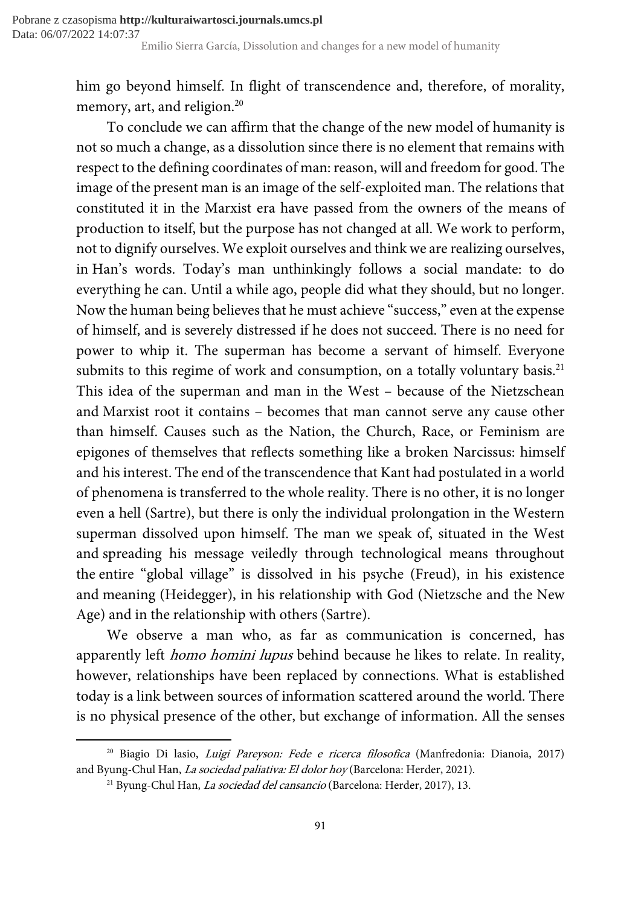him go beyond himself. In flight of transcendence and, therefore, of morality, memory, art, and religion.<sup>20</sup>

To conclude we can affirm that the change of the new model of humanity is not so much a change, as a dissolution since there is no element that remains with respect to the defining coordinates of man: reason, will and freedom for good. The image of the present man is an image of the self-exploited man. The relations that constituted it in the Marxist era have passed from the owners of the means of production to itself, but the purpose has not changed at all. We work to perform, not to dignify ourselves. We exploit ourselves and think we are realizing ourselves, in Han's words. Today's man unthinkingly follows a social mandate: to do everything he can. Until a while ago, people did what they should, but no longer. Now the human being believes that he must achieve "success," even at the expense of himself, and is severely distressed if he does not succeed. There is no need for power to whip it. The superman has become a servant of himself. Everyone submits to this regime of work and consumption, on a totally voluntary basis.<sup>21</sup> This idea of the superman and man in the West – because of the Nietzschean and Marxist root it contains – becomes that man cannot serve any cause other than himself. Causes such as the Nation, the Church, Race, or Feminism are epigones of themselves that reflects something like a broken Narcissus: himself and his interest. The end of the transcendence that Kant had postulated in a world of phenomena is transferred to the whole reality. There is no other, it is no longer even a hell (Sartre), but there is only the individual prolongation in the Western superman dissolved upon himself. The man we speak of, situated in the West and spreading his message veiledly through technological means throughout the entire "global village" is dissolved in his psyche (Freud), in his existence and meaning (Heidegger), in his relationship with God (Nietzsche and the New Age) and in the relationship with others (Sartre).

We observe a man who, as far as communication is concerned, has apparently left homo homini lupus behind because he likes to relate. In reality, however, relationships have been replaced by connections. What is established today is a link between sources of information scattered around the world. There is no physical presence of the other, but exchange of information. All the senses

<sup>&</sup>lt;sup>20</sup> Biagio Di lasio, *Luigi Pareyson: Fede e ricerca filosofica* (Manfredonia: Dianoia, 2017) and Byung-Chul Han, La sociedad paliativa: El dolor hoy (Barcelona: Herder, 2021).

<sup>&</sup>lt;sup>21</sup> Byung-Chul Han, *La sociedad del cansancio* (Barcelona: Herder, 2017), 13.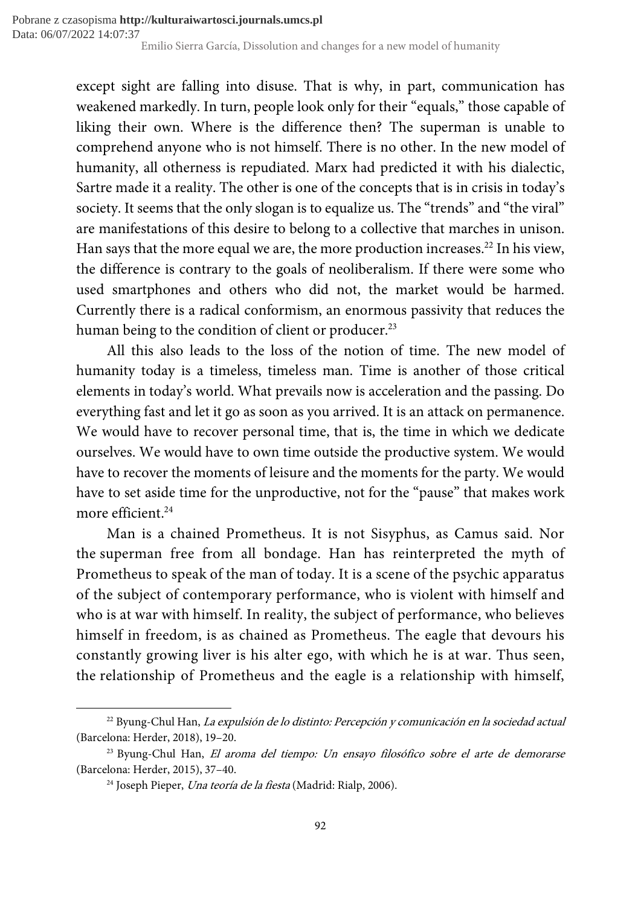except sight are falling into disuse. That is why, in part, communication has weakened markedly. In turn, people look only for their "equals," those capable of liking their own. Where is the difference then? The superman is unable to comprehend anyone who is not himself. There is no other. In the new model of humanity, all otherness is repudiated. Marx had predicted it with his dialectic, Sartre made it a reality. The other is one of the concepts that is in crisis in today's society. It seems that the only slogan is to equalize us. The "trends" and "the viral" are manifestations of this desire to belong to a collective that marches in unison. Han says that the more equal we are, the more production increases.<sup>22</sup> In his view, the difference is contrary to the goals of neoliberalism. If there were some who used smartphones and others who did not, the market would be harmed. Currently there is a radical conformism, an enormous passivity that reduces the human being to the condition of client or producer.<sup>23</sup>

All this also leads to the loss of the notion of time. The new model of humanity today is a timeless, timeless man. Time is another of those critical elements in today's world. What prevails now is acceleration and the passing. Do everything fast and let it go as soon as you arrived. It is an attack on permanence. We would have to recover personal time, that is, the time in which we dedicate ourselves. We would have to own time outside the productive system. We would have to recover the moments of leisure and the moments for the party. We would have to set aside time for the unproductive, not for the "pause" that makes work more efficient.<sup>24</sup>

Man is a chained Prometheus. It is not Sisyphus, as Camus said. Nor the superman free from all bondage. Han has reinterpreted the myth of Prometheus to speak of the man of today. It is a scene of the psychic apparatus of the subject of contemporary performance, who is violent with himself and who is at war with himself. In reality, the subject of performance, who believes himself in freedom, is as chained as Prometheus. The eagle that devours his constantly growing liver is his alter ego, with which he is at war. Thus seen, the relationship of Prometheus and the eagle is a relationship with himself,

<sup>&</sup>lt;sup>22</sup> Byung-Chul Han, *La expulsión de lo distinto: Percepción y comunicación en la sociedad actual* (Barcelona: Herder, 2018), 19–20.

<sup>&</sup>lt;sup>23</sup> Byung-Chul Han, *El aroma del tiempo: Un ensayo filosófico sobre el arte de demorarse* (Barcelona: Herder, 2015), 37–40.

<sup>&</sup>lt;sup>24</sup> Joseph Pieper, *Una teoría de la fiesta* (Madrid: Rialp, 2006).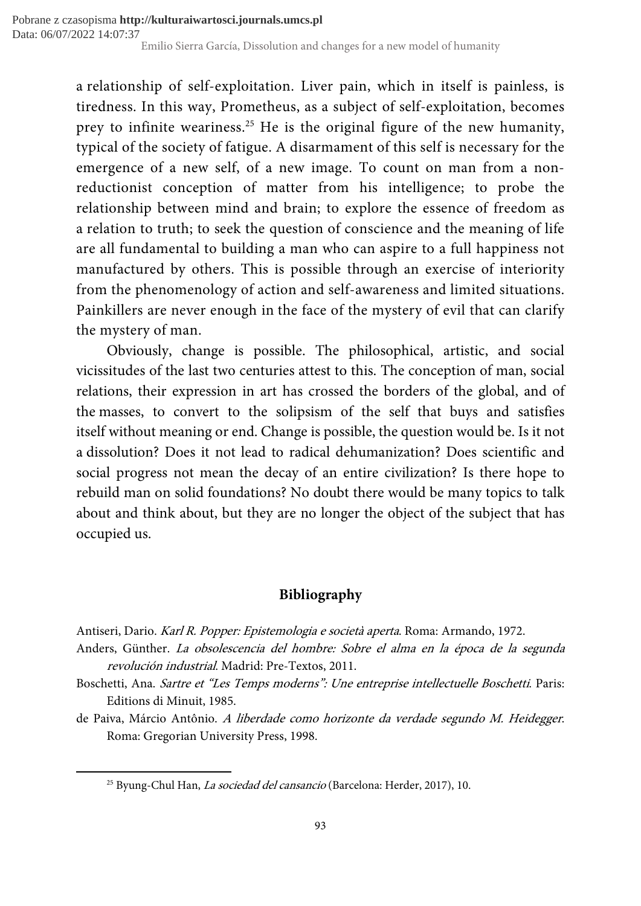a relationship of self-exploitation. Liver pain, which in itself is painless, is tiredness. In this way, Prometheus, as a subject of self-exploitation, becomes prey to infinite weariness.<sup>25</sup> He is the original figure of the new humanity, typical of the society of fatigue. A disarmament of this self is necessary for the emergence of a new self, of a new image. To count on man from a nonreductionist conception of matter from his intelligence; to probe the relationship between mind and brain; to explore the essence of freedom as a relation to truth; to seek the question of conscience and the meaning of life are all fundamental to building a man who can aspire to a full happiness not manufactured by others. This is possible through an exercise of interiority from the phenomenology of action and self-awareness and limited situations. Painkillers are never enough in the face of the mystery of evil that can clarify the mystery of man.

Obviously, change is possible. The philosophical, artistic, and social vicissitudes of the last two centuries attest to this. The conception of man, social relations, their expression in art has crossed the borders of the global, and of the masses, to convert to the solipsism of the self that buys and satisfies itself without meaning or end. Change is possible, the question would be. Is it not a dissolution? Does it not lead to radical dehumanization? Does scientific and social progress not mean the decay of an entire civilization? Is there hope to rebuild man on solid foundations? No doubt there would be many topics to talk about and think about, but they are no longer the object of the subject that has occupied us.

# Bibliography

Antiseri, Dario. Karl R. Popper: Epistemologia e società aperta. Roma: Armando, 1972.

Anders, Günther. La obsolescencia del hombre: Sobre el alma en la época de la segunda revolución industrial. Madrid: Pre-Textos, 2011.

- Boschetti, Ana. Sartre et "Les Temps moderns": Une entreprise intellectuelle Boschetti. Paris: Editions di Minuit, 1985.
- de Paiva, Márcio Antônio. A liberdade como horizonte da verdade segundo M. Heidegger. Roma: Gregorian University Press, 1998.

<sup>&</sup>lt;sup>25</sup> Byung-Chul Han, *La sociedad del cansancio* (Barcelona: Herder, 2017), 10.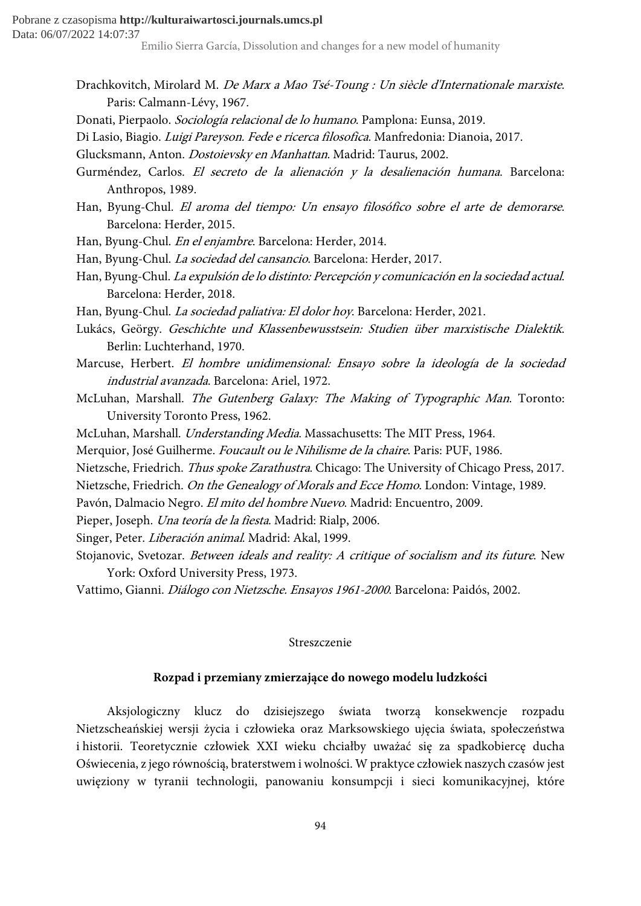Pobrane z czasopisma **http://kulturaiwartosci.journals.umcs.pl** Data: 06/07/2022 14:07:37

Emilio Sierra García, Dissolution and changes for a new model of humanity

- Drachkovitch, Mirolard M. De Marx a Mao Tsé-Toung : Un siècle d'Internationale marxiste. Paris: Calmann-Lévy, 1967.
- Donati, Pierpaolo. Sociología relacional de lo humano. Pamplona: Eunsa, 2019.
- Di Lasio, Biagio. Luigi Pareyson. Fede e ricerca filosofica. Manfredonia: Dianoia, 2017.
- Glucksmann, Anton. Dostoievsky en Manhattan. Madrid: Taurus, 2002.
- Gurméndez, Carlos. El secreto de la alienación y la desalienación humana. Barcelona: Anthropos, 1989.
- Han, Byung-Chul. El aroma del tiempo: Un ensayo filosófico sobre el arte de demorarse. Barcelona: Herder, 2015.
- Han, Byung-Chul. En el enjambre. Barcelona: Herder, 2014.
- Han, Byung-Chul. La sociedad del cansancio. Barcelona: Herder, 2017.
- Han, Byung-Chul. La expulsión de lo distinto: Percepción y comunicación en la sociedad actual. Barcelona: Herder, 2018.
- Han, Byung-Chul. La sociedad paliativa: El dolor hoy. Barcelona: Herder, 2021.
- Lukács, Geörgy. Geschichte und Klassenbewusstsein: Studien über marxistische Dialektik. Berlin: Luchterhand, 1970.
- Marcuse, Herbert. El hombre unidimensional: Ensayo sobre la ideología de la sociedad industrial avanzada. Barcelona: Ariel, 1972.
- McLuhan, Marshall. The Gutenberg Galaxy: The Making of Typographic Man. Toronto: University Toronto Press, 1962.
- McLuhan, Marshall. Understanding Media. Massachusetts: The MIT Press, 1964.
- Merquior, José Guilherme. Foucault ou le Nihilisme de la chaire. Paris: PUF, 1986.
- Nietzsche, Friedrich. Thus spoke Zarathustra. Chicago: The University of Chicago Press, 2017.
- Nietzsche, Friedrich. On the Genealogy of Morals and Ecce Homo. London: Vintage, 1989.
- Pavón, Dalmacio Negro. El mito del hombre Nuevo. Madrid: Encuentro, 2009.
- Pieper, Joseph. Una teoría de la fiesta. Madrid: Rialp, 2006.
- Singer, Peter. Liberación animal. Madrid: Akal, 1999.
- Stojanovic, Svetozar. Between ideals and reality: A critique of socialism and its future. New York: Oxford University Press, 1973.
- Vattimo, Gianni. Diálogo con Nietzsche. Ensayos 1961-2000. Barcelona: Paidós, 2002.

#### Streszczenie

## Rozpad i przemiany zmierzające do nowego modelu ludzkości

Aksjologiczny klucz do dzisiejszego świata tworzą konsekwencje rozpadu Nietzscheańskiej wersji życia i człowieka oraz Marksowskiego ujęcia świata, społeczeństwa i historii. Teoretycznie człowiek XXI wieku chciałby uważać się za spadkobiercę ducha Oświecenia, z jego równością, braterstwem i wolności. W praktyce człowiek naszych czasów jest uwięziony w tyranii technologii, panowaniu konsumpcji i sieci komunikacyjnej, które